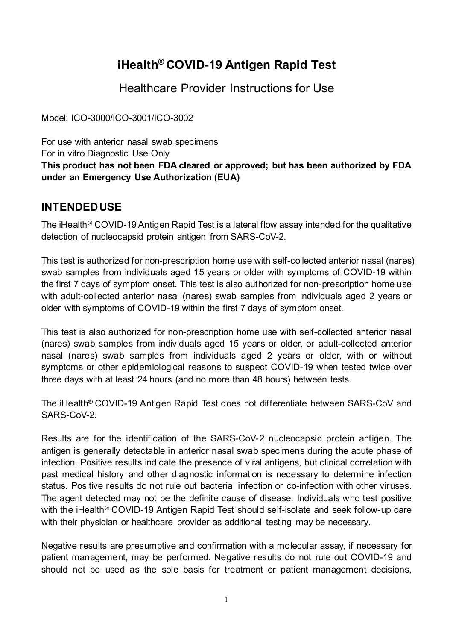# **iHealth® COVID-19 Antigen Rapid Test**

Healthcare Provider Instructions for Use

Model: ICO-3000/ICO-3001/ICO-3002

For use with anterior nasal swab specimens For in vitro Diagnostic Use Only **This product has not been FDA cleared or approved; but has been authorized by FDA under an Emergency Use Authorization (EUA)**

## **INTENDED USE**

The iHealth® COVID-19 Antigen Rapid Test is a lateral flow assay intended for the qualitative detection of nucleocapsid protein antigen from SARS-CoV-2.

This test is authorized for non-prescription home use with self-collected anterior nasal (nares) swab samples from individuals aged 15 years or older with symptoms of COVID-19 within the first 7 days of symptom onset. This test is also authorized for non-prescription home use with adult-collected anterior nasal (nares) swab samples from individuals aged 2 years or older with symptoms of COVID-19 within the first 7 days of symptom onset.

This test is also authorized for non-prescription home use with self-collected anterior nasal (nares) swab samples from individuals aged 15 years or older, or adult-collected anterior nasal (nares) swab samples from individuals aged 2 years or older, with or without symptoms or other epidemiological reasons to suspect COVID-19 when tested twice over three days with at least 24 hours (and no more than 48 hours) between tests.

The iHealth® COVID-19 Antigen Rapid Test does not differentiate between SARS-CoV and SARS-CoV-2

Results are for the identification of the SARS-CoV-2 nucleocapsid protein antigen. The antigen is generally detectable in anterior nasal swab specimens during the acute phase of infection. Positive results indicate the presence of viral antigens, but clinical correlation with past medical history and other diagnostic information is necessary to determine infection status. Positive results do not rule out bacterial infection or co-infection with other viruses. The agent detected may not be the definite cause of disease. Individuals who test positive with the iHealth<sup>®</sup> COVID-19 Antigen Rapid Test should self-isolate and seek follow-up care with their physician or healthcare provider as additional testing may be necessary.

Negative results are presumptive and confirmation with a molecular assay, if necessary for patient management, may be performed. Negative results do not rule out COVID-19 and should not be used as the sole basis for treatment or patient management decisions,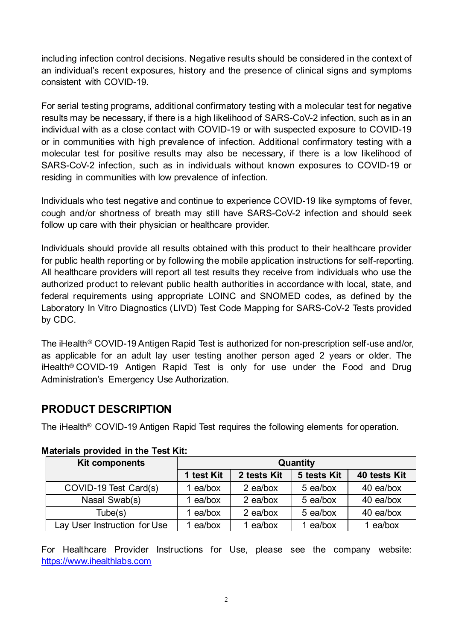including infection control decisions. Negative results should be considered in the context of an individual's recent exposures, history and the presence of clinical signs and symptoms consistent with COVID-19.

For serial testing programs, additional confirmatory testing with a molecular test for negative results may be necessary, if there is a high likelihood of SARS-CoV-2 infection, such as in an individual with as a close contact with COVID-19 or with suspected exposure to COVID-19 or in communities with high prevalence of infection. Additional confirmatory testing with a molecular test for positive results may also be necessary, if there is a low likelihood of SARS-CoV-2 infection, such as in individuals without known exposures to COVID-19 or residing in communities with low prevalence of infection.

Individuals who test negative and continue to experience COVID-19 like symptoms of fever, cough and/or shortness of breath may still have SARS-CoV-2 infection and should seek follow up care with their physician or healthcare provider.

Individuals should provide all results obtained with this product to their healthcare provider for public health reporting or by following the mobile application instructions for self-reporting. All healthcare providers will report all test results they receive from individuals who use the authorized product to relevant public health authorities in accordance with local, state, and federal requirements using appropriate LOINC and SNOMED codes, as defined by the Laboratory In Vitro Diagnostics (LIVD) Test Code Mapping for SARS-CoV-2 Tests provided by CDC.

The iHealth® COVID-19 Antigen Rapid Test is authorized for non-prescription self-use and/or, as applicable for an adult lay user testing another person aged 2 years or older. The iHealth® COVID-19 Antigen Rapid Test is only for use under the Food and Drug Administration's Emergency Use Authorization.

## **PRODUCT DESCRIPTION**

The iHealth® COVID-19 Antigen Rapid Test requires the following elements for operation.

| <b>Kit components</b>        | Quantity   |             |             |              |
|------------------------------|------------|-------------|-------------|--------------|
|                              | 1 test Kit | 2 tests Kit | 5 tests Kit | 40 tests Kit |
| COVID-19 Test Card(s)        | l ea/box   | 2 ea/box    | 5 ea/box    | 40 ea/box    |
| Nasal Swab(s)                | ea/box     | 2 ea/box    | 5 ea/box    | 40 ea/box    |
| Tube(s)                      | ea/box     | 2 ea/box    | 5 ea/box    | 40 ea/box    |
| Lay User Instruction for Use | ea/box     | ea/box      | ea/box      | ea/box       |

### **Materials provided in the Test Kit:**

For Healthcare Provider Instructions for Use, please see the company website: [https://www.ihealthlabs.com](https://www.ihealthlabs.com/)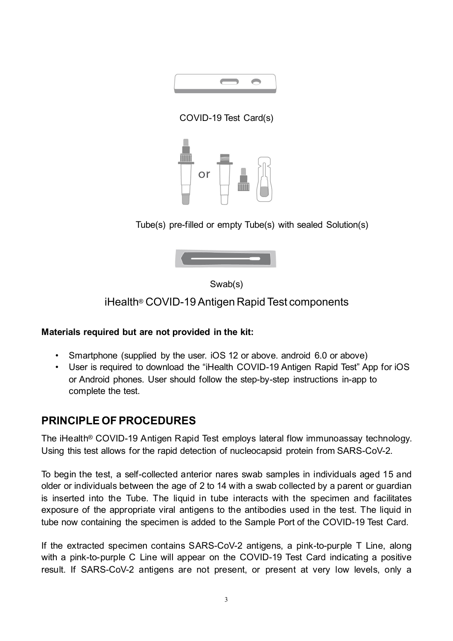

COVID-19 Test Card(s)



Tube(s) pre-filled or empty Tube(s) with sealed Solution(s)



Swab(s)

iHealth® COVID-19 Antigen Rapid Test components

### **Materials required but are not provided in the kit:**

- Smartphone (supplied by the user. iOS 12 or above. android 6.0 or above)
- User is required to download the "iHealth COVID-19 Antigen Rapid Test" App for iOS or Android phones. User should follow the step-by-step instructions in-app to complete the test.

## **PRINCIPLE OF PROCEDURES**

The iHealth® COVID-19 Antigen Rapid Test employs lateral flow immunoassay technology. Using this test allows for the rapid detection of nucleocapsid protein from SARS-CoV-2.

To begin the test, a self-collected anterior nares swab samples in individuals aged 15 and older or individuals between the age of 2 to 14 with a swab collected by a parent or guardian is inserted into the Tube. The liquid in tube interacts with the specimen and facilitates exposure of the appropriate viral antigens to the antibodies used in the test. The liquid in tube now containing the specimen is added to the Sample Port of the COVID-19 Test Card.

If the extracted specimen contains SARS-CoV-2 antigens, a pink-to-purple T Line, along with a pink-to-purple C Line will appear on the COVID-19 Test Card indicating a positive result. If SARS-CoV-2 antigens are not present, or present at very low levels, only a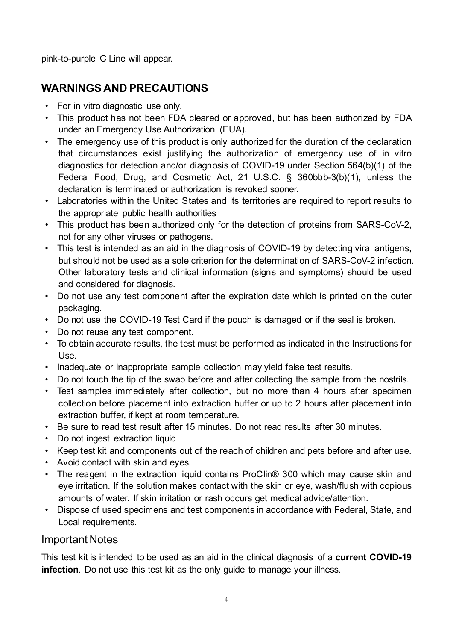pink-to-purple C Line will appear.

## **WARNINGS AND PRECAUTIONS**

- For in vitro diagnostic use only.
- This product has not been FDA cleared or approved, but has been authorized by FDA under an Emergency Use Authorization (EUA).
- The emergency use of this product is only authorized for the duration of the declaration that circumstances exist justifying the authorization of emergency use of in vitro diagnostics for detection and/or diagnosis of COVID-19 under Section 564(b)(1) of the Federal Food, Drug, and Cosmetic Act, 21 U.S.C. § 360bbb-3(b)(1), unless the declaration is terminated or authorization is revoked sooner.
- Laboratories within the United States and its territories are required to report results to the appropriate public health authorities
- This product has been authorized only for the detection of proteins from SARS-CoV-2, not for any other viruses or pathogens.
- This test is intended as an aid in the diagnosis of COVID-19 by detecting viral antigens, but should not be used as a sole criterion for the determination of SARS-CoV-2 infection. Other laboratory tests and clinical information (signs and symptoms) should be used and considered for diagnosis.
- Do not use any test component after the expiration date which is printed on the outer packaging.
- Do not use the COVID-19 Test Card if the pouch is damaged or if the seal is broken.
- Do not reuse any test component.
- To obtain accurate results, the test must be performed as indicated in the Instructions for Use.
- Inadequate or inappropriate sample collection may yield false test results.
- Do not touch the tip of the swab before and after collecting the sample from the nostrils.
- Test samples immediately after collection, but no more than 4 hours after specimen collection before placement into extraction buffer or up to 2 hours after placement into extraction buffer, if kept at room temperature.
- Be sure to read test result after 15 minutes. Do not read results after 30 minutes.
- Do not ingest extraction liquid
- Keep test kit and components out of the reach of children and pets before and after use.
- Avoid contact with skin and eyes.
- The reagent in the extraction liquid contains ProClin<sup>®</sup> 300 which may cause skin and eye irritation. If the solution makes contact with the skin or eye, wash/flush with copious amounts of water. If skin irritation or rash occurs get medical advice/attention.
- Dispose of used specimens and test components in accordance with Federal, State, and Local requirements.

### Important Notes

This test kit is intended to be used as an aid in the clinical diagnosis of a **current COVID-19 infection**. Do not use this test kit as the only guide to manage your illness.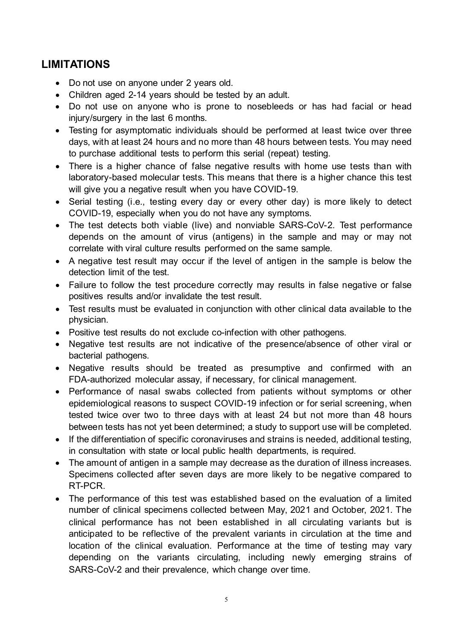## **LIMITATIONS**

- Do not use on anyone under 2 years old.
- Children aged 2-14 years should be tested by an adult.
- Do not use on anyone who is prone to nosebleeds or has had facial or head injury/surgery in the last 6 months.
- Testing for asymptomatic individuals should be performed at least twice over three days, with at least 24 hours and no more than 48 hours between tests. You may need to purchase additional tests to perform this serial (repeat) testing.
- There is a higher chance of false negative results with home use tests than with laboratory-based molecular tests. This means that there is a higher chance this test will give you a negative result when you have COVID-19.
- Serial testing (i.e., testing every day or every other day) is more likely to detect COVID-19, especially when you do not have any symptoms.
- The test detects both viable (live) and nonviable SARS-CoV-2. Test performance depends on the amount of virus (antigens) in the sample and may or may not correlate with viral culture results performed on the same sample.
- A negative test result may occur if the level of antigen in the sample is below the detection limit of the test.
- Failure to follow the test procedure correctly may results in false negative or false positives results and/or invalidate the test result.
- Test results must be evaluated in conjunction with other clinical data available to the physician.
- Positive test results do not exclude co-infection with other pathogens.
- Negative test results are not indicative of the presence/absence of other viral or bacterial pathogens.
- Negative results should be treated as presumptive and confirmed with an FDA-authorized molecular assay, if necessary, for clinical management.
- Performance of nasal swabs collected from patients without symptoms or other epidemiological reasons to suspect COVID-19 infection or for serial screening, when tested twice over two to three days with at least 24 but not more than 48 hours between tests has not yet been determined; a study to support use will be completed.
- If the differentiation of specific coronaviruses and strains is needed, additional testing, in consultation with state or local public health departments, is required.
- The amount of antigen in a sample may decrease as the duration of illness increases. Specimens collected after seven days are more likely to be negative compared to RT-PCR.
- The performance of this test was established based on the evaluation of a limited number of clinical specimens collected between May, 2021 and October, 2021. The clinical performance has not been established in all circulating variants but is anticipated to be reflective of the prevalent variants in circulation at the time and location of the clinical evaluation. Performance at the time of testing may vary depending on the variants circulating, including newly emerging strains of SARS-CoV-2 and their prevalence, which change over time.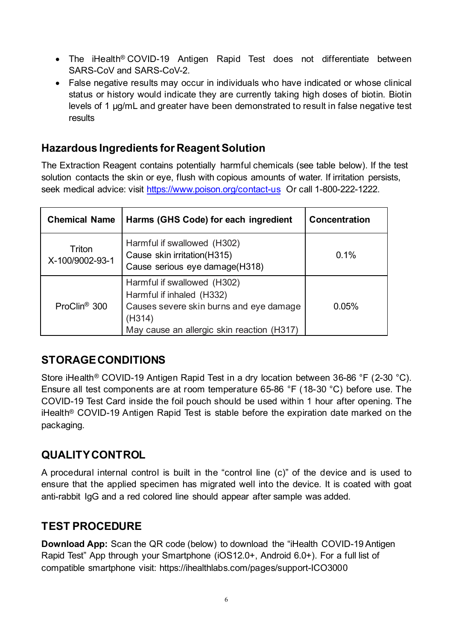- The iHealth<sup>®</sup> COVID-19 Antigen Rapid Test does not differentiate between SARS-CoV and SARS-CoV-2.
- False negative results may occur in individuals who have indicated or whose clinical status or history would indicate they are currently taking high doses of biotin. Biotin levels of 1 µg/mL and greater have been demonstrated to result in false negative test results

## **Hazardous Ingredients for Reagent Solution**

The Extraction Reagent contains potentially harmful chemicals (see table below). If the test solution contacts the skin or eye, flush with copious amounts of water. If irritation persists, seek medical advice: visit<https://www.poison.org/contact-us> Or call 1-800-222-1222.

| <b>Chemical Name</b>      | Harms (GHS Code) for each ingredient                                                                                                                        | Concentration |
|---------------------------|-------------------------------------------------------------------------------------------------------------------------------------------------------------|---------------|
| Triton<br>X-100/9002-93-1 | Harmful if swallowed (H302)<br>Cause skin irritation(H315)<br>Cause serious eye damage(H318)                                                                | 0.1%          |
| ProClin <sup>®</sup> 300  | Harmful if swallowed (H302)<br>Harmful if inhaled (H332)<br>Causes severe skin burns and eye damage<br>(H314)<br>May cause an allergic skin reaction (H317) | 0.05%         |

## **STORAGECONDITIONS**

Store iHealth® COVID-19 Antigen Rapid Test in a dry location between 36-86 °F (2-30 °C). Ensure all test components are at room temperature 65-86 °F (18-30 °C) before use. The COVID-19 Test Card inside the foil pouch should be used within 1 hour after opening. The iHealth® COVID-19 Antigen Rapid Test is stable before the expiration date marked on the packaging.

## **QUALITY CONTROL**

A procedural internal control is built in the "control line (c)" of the device and is used to ensure that the applied specimen has migrated well into the device. It is coated with goat anti-rabbit IgG and a red colored line should appear after sample was added.

## **TEST PROCEDURE**

**Download App:** Scan the QR code (below) to download the "iHealth COVID-19 Antigen Rapid Test" App through your Smartphone (iOS12.0+, Android 6.0+). For a full list of compatible smartphone visit: https://ihealthlabs.com/pages/support-ICO3000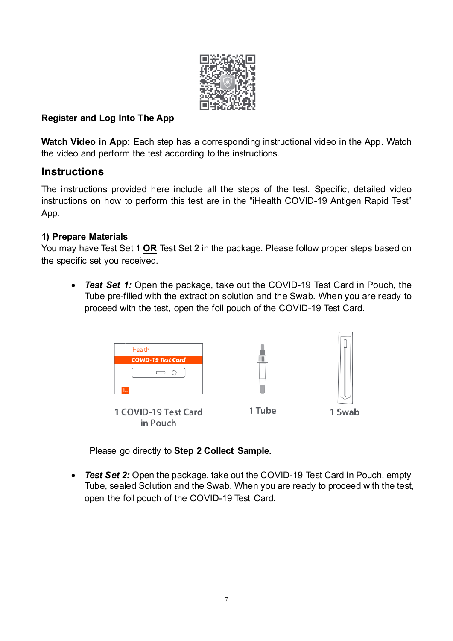

### **Register and Log Into The App**

**Watch Video in App:** Each step has a corresponding instructional video in the App. Watch the video and perform the test according to the instructions.

## **Instructions**

The instructions provided here include all the steps of the test. Specific, detailed video instructions on how to perform this test are in the "iHealth COVID-19 Antigen Rapid Test" App.

### **1) Prepare Materials**

You may have Test Set 1 **OR** Test Set 2 in the package. Please follow proper steps based on the specific set you received.

• *Test Set 1:* Open the package, take out the COVID-19 Test Card in Pouch, the Tube pre-filled with the extraction solution and the Swab. When you are ready to proceed with the test, open the foil pouch of the COVID-19 Test Card.



Please go directly to **Step 2 Collect Sample.**

• *Test Set 2:* Open the package, take out the COVID-19 Test Card in Pouch, empty Tube, sealed Solution and the Swab. When you are ready to proceed with the test, open the foil pouch of the COVID-19 Test Card.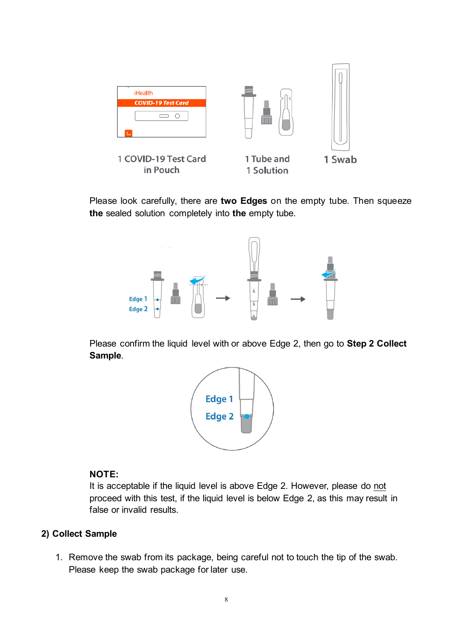

Please look carefully, there are **two Edges** on the empty tube. Then squeeze **the** sealed solution completely into **the** empty tube.



Please confirm the liquid level with or above Edge 2, then go to **Step 2 Collect Sample**.



#### **NOTE:**

It is acceptable if the liquid level is above Edge 2. However, please do not proceed with this test, if the liquid level is below Edge 2, as this may result in false or invalid results.

#### **2) Collect Sample**

1. Remove the swab from its package, being careful not to touch the tip of the swab. Please keep the swab package for later use.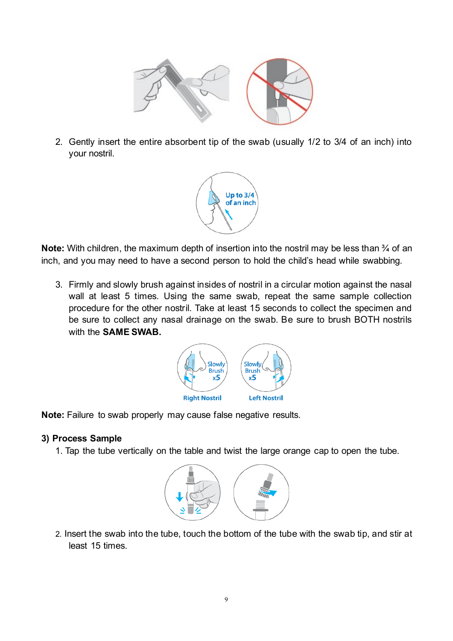

2. Gently insert the entire absorbent tip of the swab (usually 1/2 to 3/4 of an inch) into your nostril.



**Note:** With children, the maximum depth of insertion into the nostril may be less than <sup>3</sup>/4 of an inch, and you may need to have a second person to hold the child's head while swabbing.

3. Firmly and slowly brush against insides of nostril in a circular motion against the nasal wall at least 5 times. Using the same swab, repeat the same sample collection procedure for the other nostril. Take at least 15 seconds to collect the specimen and be sure to collect any nasal drainage on the swab. Be sure to brush BOTH nostrils with the **SAME SWAB.**



**Note:** Failure to swab properly may cause false negative results.

### **3) Process Sample**

1. Tap the tube vertically on the table and twist the large orange cap to open the tube.



2. Insert the swab into the tube, touch the bottom of the tube with the swab tip, and stir at least 15 times.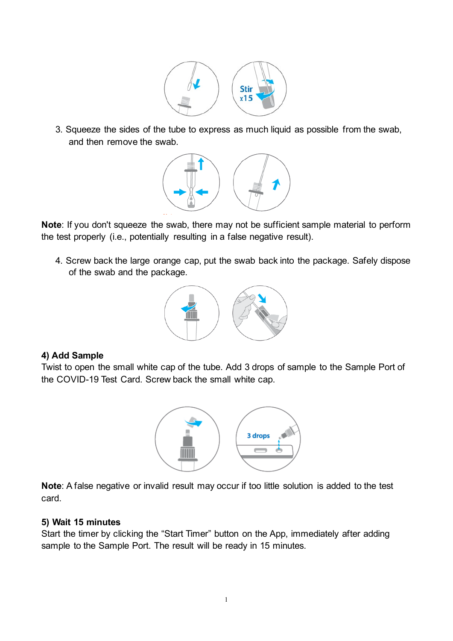

3. Squeeze the sides of the tube to express as much liquid as possible from the swab, and then remove the swab.



**Note**: If you don't squeeze the swab, there may not be sufficient sample material to perform the test properly (i.e., potentially resulting in a false negative result).

4. Screw back the large orange cap, put the swab back into the package. Safely dispose of the swab and the package.



### **4) Add Sample**

Twist to open the small white cap of the tube. Add 3 drops of sample to the Sample Port of the COVID-19 Test Card. Screw back the small white cap.



**Note**: A false negative or invalid result may occur if too little solution is added to the test card.

#### **5) Wait 15 minutes**

Start the timer by clicking the "Start Timer" button on the App, immediately after adding sample to the Sample Port. The result will be ready in 15 minutes.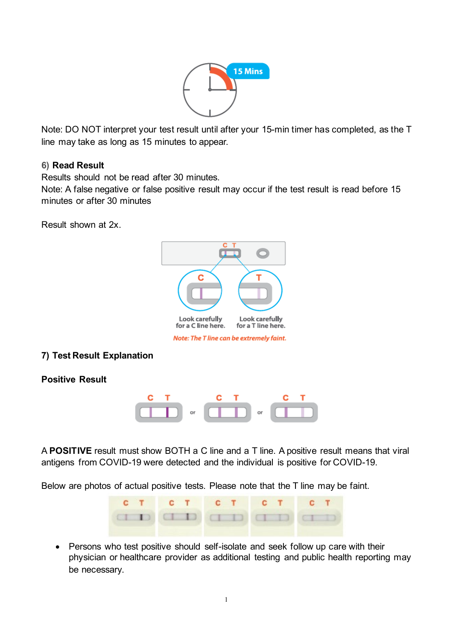

Note: DO NOT interpret your test result until after your 15-min timer has completed, as the T line may take as long as 15 minutes to appear.

### **6) Read Result**

Results should not be read after 30 minutes.

Note: A false negative or false positive result may occur if the test result is read before 15 minutes or after 30 minutes

Result shown at 2x.



#### Note: The T line can be extremely faint.

#### **7) Test Result Explanation**

**Positive Result**



A **POSITIVE** result must show BOTH a C line and a T line. A positive result means that viral antigens from COVID-19 were detected and the individual is positive for COVID-19.

Below are photos of actual positive tests. Please note that the T line may be faint.



• Persons who test positive should self-isolate and seek follow up care with their physician or healthcare provider as additional testing and public health reporting may be necessary.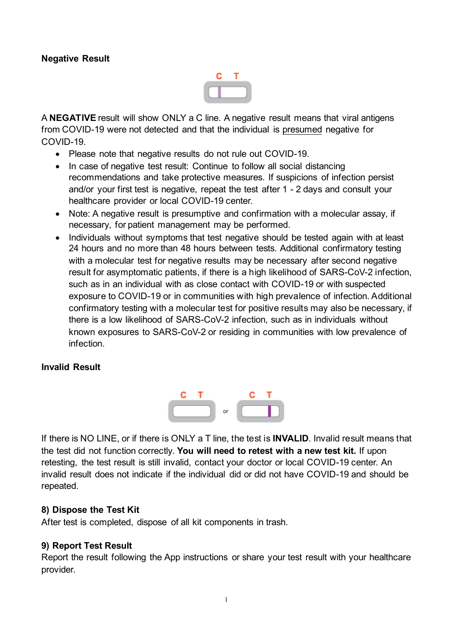#### **Negative Result**



A **NEGATIVE** result will show ONLY a C line. A negative result means that viral antigens from COVID-19 were not detected and that the individual is presumed negative for COVID-19.

- Please note that negative results do not rule out COVID-19.
- In case of negative test result: Continue to follow all social distancing recommendations and take protective measures. If suspicions of infection persist and/or your first test is negative, repeat the test after 1 - 2 days and consult your healthcare provider or local COVID-19 center.
- Note: A negative result is presumptive and confirmation with a molecular assay, if necessary, for patient management may be performed.
- Individuals without symptoms that test negative should be tested again with at least 24 hours and no more than 48 hours between tests. Additional confirmatory testing with a molecular test for negative results may be necessary after second negative result for asymptomatic patients, if there is a high likelihood of SARS-CoV-2 infection, such as in an individual with as close contact with COVID-19 or with suspected exposure to COVID-19 or in communities with high prevalence of infection. Additional confirmatory testing with a molecular test for positive results may also be necessary, if there is a low likelihood of SARS-CoV-2 infection, such as in individuals without known exposures to SARS-CoV-2 or residing in communities with low prevalence of infection.

#### **Invalid Result**



If there is NO LINE, or if there is ONLY a T line, the test is **INVALID**. Invalid result means that the test did not function correctly. **You will need to retest with a new test kit.** If upon retesting, the test result is still invalid, contact your doctor or local COVID-19 center. An invalid result does not indicate if the individual did or did not have COVID-19 and should be repeated.

#### **8) Dispose the Test Kit**

After test is completed, dispose of all kit components in trash.

#### **9) Report Test Result**

Report the result following the App instructions or share your test result with your healthcare provider.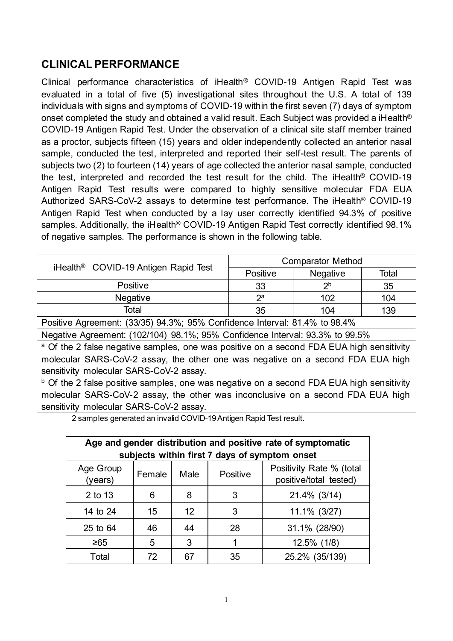## **CLINICAL PERFORMANCE**

Clinical performance characteristics of iHealth® COVID-19 Antigen Rapid Test was evaluated in a total of five (5) investigational sites throughout the U.S. A total of 139 individuals with signs and symptoms of COVID-19 within the first seven (7) days of symptom onset completed the study and obtained a valid result. Each Subject was provided a iHealth® COVID-19 Antigen Rapid Test. Under the observation of a clinical site staff member trained as a proctor, subjects fifteen (15) years and older independently collected an anterior nasal sample, conducted the test, interpreted and reported their self-test result. The parents of subjects two (2) to fourteen (14) years of age collected the anterior nasal sample, conducted the test, interpreted and recorded the test result for the child. The iHealth® COVID-19 Antigen Rapid Test results were compared to highly sensitive molecular FDA EUA Authorized SARS-CoV-2 assays to determine test performance. The iHealth® COVID-19 Antigen Rapid Test when conducted by a lay user correctly identified 94.3% of positive samples. Additionally, the iHealth® COVID-19 Antigen Rapid Test correctly identified 98.1% of negative samples. The performance is shown in the following table.

|                                                                                                     | <b>Comparator Method</b> |                |       |  |  |
|-----------------------------------------------------------------------------------------------------|--------------------------|----------------|-------|--|--|
| iHealth <sup>®</sup> COVID-19 Antigen Rapid Test                                                    | Positive                 | Negative       | Total |  |  |
| Positive                                                                                            | 33                       | 2 <sub>b</sub> | 35    |  |  |
| Negative                                                                                            | $2^a$                    | 102            | 104   |  |  |
| Total                                                                                               | 35                       | 104            | 139   |  |  |
| Positive Agreement: (33/35) 94.3%; 95% Confidence Interval: 81.4% to 98.4%                          |                          |                |       |  |  |
| Negative Agreement: (102/104) 98.1%; 95% Confidence Interval: 93.3% to 99.5%                        |                          |                |       |  |  |
| <sup>a</sup> Of the 2 false negative samples, one was positive on a second FDA EUA high sensitivity |                          |                |       |  |  |
| molecular SARS-CoV-2 assay, the other one was negative on a second FDA EUA high                     |                          |                |       |  |  |
| sensitivity molecular SARS-CoV-2 assay.                                                             |                          |                |       |  |  |
| <sup>b</sup> Of the 2 false positive samples, one was negative on a second FDA EUA high sensitivity |                          |                |       |  |  |
| molecular SARS-CoV-2 assay, the other was inconclusive on a second FDA EUA high                     |                          |                |       |  |  |

sensitivity molecular SARS-CoV-2 assay.

2 samples generated an invalid COVID-19 Antigen Rapid Test result.

| Age and gender distribution and positive rate of symptomatic<br>subjects within first 7 days of symptom onset |                                                                                  |    |    |                |  |
|---------------------------------------------------------------------------------------------------------------|----------------------------------------------------------------------------------|----|----|----------------|--|
| Age Group<br>(years)                                                                                          | Positivity Rate % (total<br>Positive<br>Male<br>Female<br>positive/total tested) |    |    |                |  |
| 2 to 13                                                                                                       | 6                                                                                | 8  | 3  | 21.4% (3/14)   |  |
| 14 to 24                                                                                                      | 15                                                                               | 12 | 3  | 11.1% (3/27)   |  |
| 25 to 64                                                                                                      | 46                                                                               | 44 | 28 | 31.1% (28/90)  |  |
| ≥65                                                                                                           | 5                                                                                | 3  |    | 12.5% (1/8)    |  |
| Total                                                                                                         | 72                                                                               | 67 | 35 | 25.2% (35/139) |  |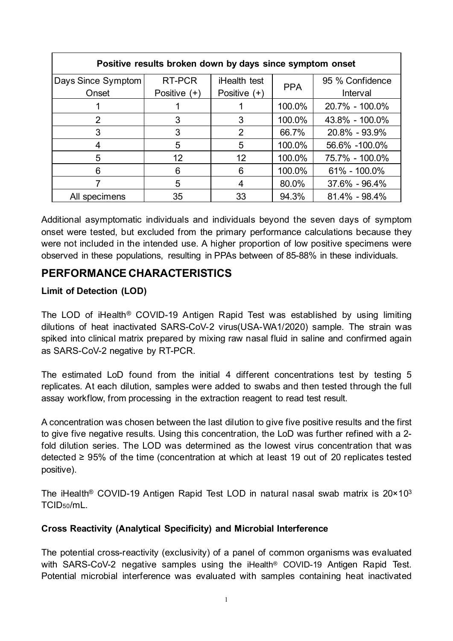| Positive results broken down by days since symptom onset |                |                |            |                 |  |
|----------------------------------------------------------|----------------|----------------|------------|-----------------|--|
| Days Since Symptom                                       | RT-PCR         | iHealth test   | <b>PPA</b> | 95 % Confidence |  |
| Onset                                                    | Positive $(+)$ | Positive $(+)$ |            | Interval        |  |
|                                                          |                |                | 100.0%     | 20.7% - 100.0%  |  |
| $\overline{2}$                                           | 3              | 3              | 100.0%     | 43.8% - 100.0%  |  |
| 3                                                        | 3              | $\overline{2}$ | 66.7%      | 20.8% - 93.9%   |  |
|                                                          | 5              | 5              | 100.0%     | 56.6% -100.0%   |  |
| 5                                                        | 12             | 12             | 100.0%     | 75.7% - 100.0%  |  |
| 6                                                        | 6              | 6              | 100.0%     | 61% - 100.0%    |  |
|                                                          | 5              | 4              | 80.0%      | 37.6% - 96.4%   |  |
| All specimens                                            | 35             | 33             | 94.3%      | 81.4% - 98.4%   |  |

Additional asymptomatic individuals and individuals beyond the seven days of symptom onset were tested, but excluded from the primary performance calculations because they were not included in the intended use. A higher proportion of low positive specimens were observed in these populations, resulting in PPAs between of 85-88% in these individuals.

## **PERFORMANCE CHARACTERISTICS**

## **Limit of Detection (LOD)**

The LOD of iHealth® COVID-19 Antigen Rapid Test was established by using limiting dilutions of heat inactivated SARS-CoV-2 virus(USA-WA1/2020) sample. The strain was spiked into clinical matrix prepared by mixing raw nasal fluid in saline and confirmed again as SARS-CoV-2 negative by RT-PCR.

The estimated LoD found from the initial 4 different concentrations test by testing 5 replicates. At each dilution, samples were added to swabs and then tested through the full assay workflow, from processing in the extraction reagent to read test result.

A concentration was chosen between the last dilution to give five positive results and the first to give five negative results. Using this concentration, the LoD was further refined with a 2 fold dilution series. The LOD was determined as the lowest virus concentration that was detected  $\geq$  95% of the time (concentration at which at least 19 out of 20 replicates tested positive).

The iHealth® COVID-19 Antigen Rapid Test LOD in natural nasal swab matrix is 20×103 TCID50/mL.

### **Cross Reactivity (Analytical Specificity) and Microbial Interference**

The potential cross-reactivity (exclusivity) of a panel of common organisms was evaluated with SARS-CoV-2 negative samples using the iHealth<sup>®</sup> COVID-19 Antigen Rapid Test. Potential microbial interference was evaluated with samples containing heat inactivated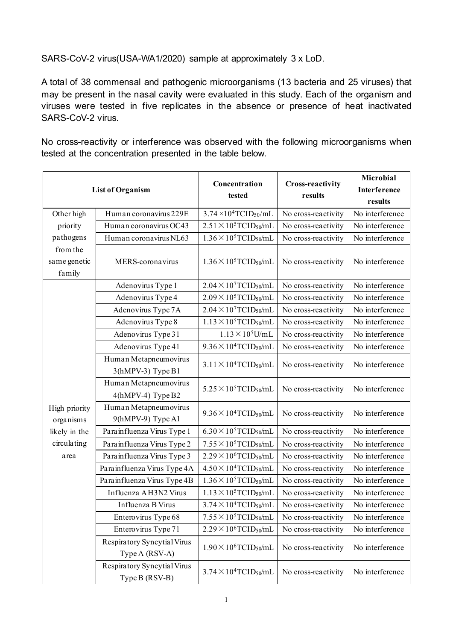SARS-CoV-2 virus(USA-WA1/2020) sample at approximately 3 x LoD.

A total of 38 commensal and pathogenic microorganisms (13 bacteria and 25 viruses) that may be present in the nasal cavity were evaluated in this study. Each of the organism and viruses were tested in five replicates in the absence or presence of heat inactivated SARS-CoV-2 virus.

No cross-reactivity or interference was observed with the following microorganisms when tested at the concentration presented in the table below.

| <b>List of Organism</b>            |                                               | Concentration<br>tested                     | <b>Cross-reactivity</b><br>results | Microbial<br><b>Interference</b><br>results |
|------------------------------------|-----------------------------------------------|---------------------------------------------|------------------------------------|---------------------------------------------|
| Other high                         | Human coronavirus 229E                        | $3.74 \times 10^4$ TCID <sub>50</sub> /mL   | No cross-reactivity                | No interference                             |
| priority                           | Human coronavirus OC43                        | $2.51 \times 10^5$ TCID <sub>50</sub> /mL   | No cross-reactivity                | No interference                             |
| pathogens                          | Human coronavirus NL63                        | $1.36 \times 10^5$ TCID <sub>50</sub> /mL   | No cross-reactivity                | No interference                             |
| from the<br>same genetic<br>family | MERS-coronavirus                              | $1.36 \times 10^5$ TCID <sub>50</sub> /mL   | No cross-reactivity                | No interference                             |
|                                    | Adenovirus Type 1                             | $2.04 \times 10^{7}$ TCID <sub>50</sub> /mL | No cross-reactivity                | No interference                             |
|                                    | Adenovirus Type 4                             | $2.09 \times 10^5$ TCID <sub>50</sub> /mL   | No cross-reactivity                | No interference                             |
|                                    | Adenovirus Type 7A                            | $2.04 \times 10^{7}$ TCID <sub>50</sub> /mL | No cross-reactivity                | No interference                             |
|                                    | Adenovirus Type 8                             | $1.13 \times 10^5$ TCID <sub>50</sub> /mL   | No cross-reactivity                | No interference                             |
|                                    | Adenovirus Type 31                            | $1.13 \times 10^5$ U/mL                     | No cross-reactivity                | No interference                             |
|                                    | Adenovirus Type 41                            | $9.36 \times 10^4$ TCID <sub>50</sub> /mL   | No cross-reactivity                | No interference                             |
| High priority<br>organisms         | Human Metapneumovirus<br>3(hMPV-3) Type B1    | $3.11 \times 10^4$ TCID <sub>50</sub> /mL   | No cross-reactivity                | No interference                             |
|                                    | Human Metapneumovirus<br>4(hMPV-4) Type B2    | $5.25 \times 10^5$ TCID <sub>50</sub> /mL   | No cross-reactivity                | No interference                             |
|                                    | Human Metapneumovirus<br>9(hMPV-9) Type A1    | $9.36 \times 10^4$ TCID <sub>50</sub> /mL   | No cross-reactivity                | No interference                             |
| likely in the                      | Parainfluenza Virus Type 1                    | $6.30 \times 10^5$ TCID <sub>50</sub> /mL   | No cross-reactivity                | No interference                             |
| circulating                        | Parainfluenza Virus Type 2                    | $7.55 \times 10^5$ TCID <sub>50</sub> /mL   | No cross-reactivity                | No interference                             |
| area                               | Parainfluenza Virus Type 3                    | $2.29 \times 10^6$ TCID <sub>50</sub> /mL   | No cross-reactivity                | No interference                             |
|                                    | Parainfluenza Virus Type 4A                   | $4.50 \times 10^{4}$ TCID <sub>50</sub> /mL | No cross-reactivity                | No interference                             |
|                                    | Parainfluenza Virus Type 4B                   | $1.36 \times 10^5$ TCID <sub>50</sub> /mL   | No cross-reactivity                | No interference                             |
|                                    | Influenza AH3N2 Virus                         | $1.13 \times 10^5$ TCID <sub>50</sub> /mL   | No cross-reactivity                | No interference                             |
|                                    | Influenza B Virus                             | $3.74 \times 10^4$ TCID <sub>50</sub> /mL   | No cross-reactivity                | No interference                             |
|                                    | Enterovirus Type 68                           | $7.55 \times 10^5$ TCID <sub>50</sub> /mL   | No cross-reactivity                | No interference                             |
|                                    | Enterovirus Type 71                           | $2.29 \times 10^6$ TCID <sub>50</sub> /mL   | No cross-reactivity                | No interference                             |
|                                    | Respiratory Syncytial Virus<br>Type A (RSV-A) | $1.90 \times 10^6$ TCID <sub>50</sub> /mL   | No cross-reactivity                | No interference                             |
|                                    | Respiratory Syncytial Virus<br>Type B (RSV-B) | $3.74 \times 10^{4}$ TCID <sub>50</sub> /mL | No cross-reactivity                | No interference                             |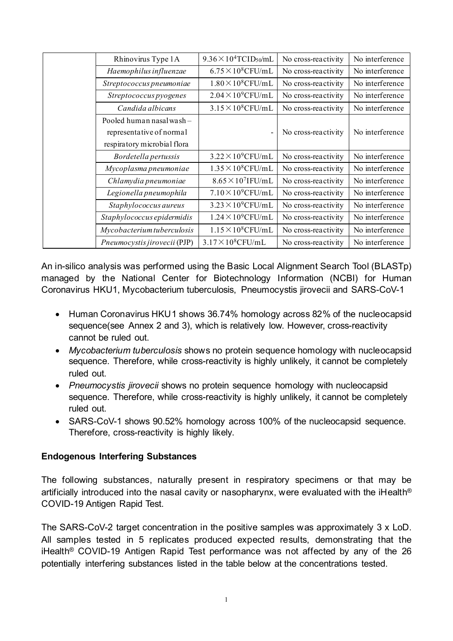| Rhinovirus Type 1A           | $9.36 \times 10^4$ TCID <sub>50</sub> /mL | No cross-reactivity | No interference |
|------------------------------|-------------------------------------------|---------------------|-----------------|
| Haemophilus influenzae       | $6.75 \times 10^8$ CFU/mL                 | No cross-reactivity | No interference |
|                              |                                           |                     |                 |
| Streptococcus pneumoniae     | $1.80 \times 10^8$ CFU/mL                 | No cross-reactivity | No interference |
| Streptococcus pyogenes       | $2.04 \times 10^9$ CFU/mL                 | No cross-reactivity | No interference |
| Candida albicans             | $3.15 \times 10^8$ CFU/mL                 | No cross-reactivity | No interference |
| Pooled human nasal wash -    |                                           |                     |                 |
| representative of normal     |                                           | No cross-reactivity | No interference |
| respiratory microbial flora  |                                           |                     |                 |
| Bordetella pertussis         | $3.22 \times 10^9$ CFU/mL                 | No cross-reactivity | No interference |
| Mycoplasma pneumoniae        | $1.35 \times 10^8$ CFU/mL                 | No cross-reactivity | No interference |
| Chlamydia pneumoniae         | $8.65 \times 10^{7}$ IFU/mL               | No cross-reactivity | No interference |
| Legionella pneumophila       | $7.10 \times 10^9$ CFU/mL                 | No cross-reactivity | No interference |
| Staphylococcus aureus        | $3.23 \times 10^9$ CFU/mL                 | No cross-reactivity | No interference |
| Staphylococcus epidermidis   | $1.24 \times 10^9$ CFU/mL                 | No cross-reactivity | No interference |
| Mycobacterium tuberculosis   | $1.15 \times 10^8$ CFU/mL                 | No cross-reactivity | No interference |
| Pneumocystis jirovecii (PJP) | $3.17 \times 10^8$ CFU/mL                 | No cross-reactivity | No interference |

An in-silico analysis was performed using the Basic Local Alignment Search Tool (BLASTp) managed by the National Center for Biotechnology Information (NCBI) for Human Coronavirus HKU1, Mycobacterium tuberculosis, Pneumocystis jirovecii and SARS-CoV-1

- Human Coronavirus HKU1 shows 36.74% homology across 82% of the nucleocapsid sequence(see Annex 2 and 3), which is relatively low. However, cross-reactivity cannot be ruled out.
- *Mycobacterium tuberculosis* shows no protein sequence homology with nucleocapsid sequence. Therefore, while cross-reactivity is highly unlikely, it cannot be completely ruled out.
- *Pneumocystis jirovecii* shows no protein sequence homology with nucleocapsid sequence. Therefore, while cross-reactivity is highly unlikely, it cannot be completely ruled out.
- SARS-CoV-1 shows 90.52% homology across 100% of the nucleocapsid sequence. Therefore, cross-reactivity is highly likely.

### **Endogenous Interfering Substances**

The following substances, naturally present in respiratory specimens or that may be artificially introduced into the nasal cavity or nasopharynx, were evaluated with the iHealth<sup>®</sup> COVID-19 Antigen Rapid Test.

The SARS-CoV-2 target concentration in the positive samples was approximately 3 x LoD. All samples tested in 5 replicates produced expected results, demonstrating that the iHealth® COVID-19 Antigen Rapid Test performance was not affected by any of the 26 potentially interfering substances listed in the table below at the concentrations tested.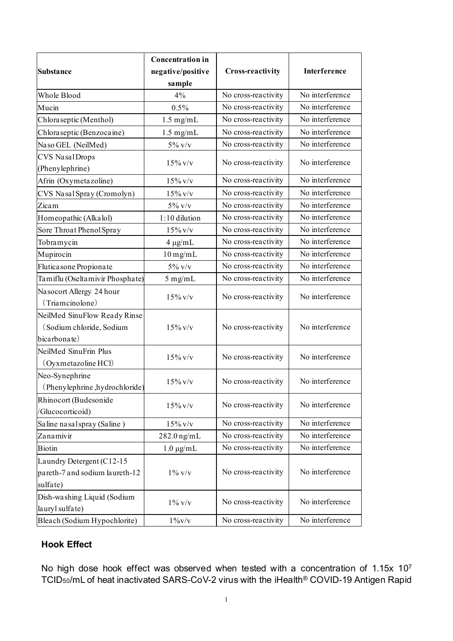| <b>Substance</b>                                                         | <b>Concentration</b> in<br>negative/positive<br>sample | <b>Cross-reactivity</b> | Interference    |
|--------------------------------------------------------------------------|--------------------------------------------------------|-------------------------|-----------------|
| Whole Blood                                                              | 4%                                                     | No cross-reactivity     | No interference |
| Mucin                                                                    | 0.5%                                                   | No cross-reactivity     | No interference |
| Chloraseptic (Menthol)                                                   | $1.5$ mg/mL                                            | No cross-reactivity     | No interference |
| Chlora septic (Benzoca ine)                                              | $1.5$ mg/mL                                            | No cross-reactivity     | No interference |
| Naso GEL (NeilMed)                                                       | $5\%$ v/v                                              | No cross-reactivity     | No interference |
| <b>CVS NasalDrops</b><br>(Phenylephrine)                                 | $15\%$ v/v                                             | No cross-reactivity     | No interference |
| Afrin (Oxymetazoline)                                                    | $15\%$ v/v                                             | No cross-reactivity     | No interference |
| CVS Nasal Spray (Cromolyn)                                               | $15\%$ v/v                                             | No cross-reactivity     | No interference |
| Zicam                                                                    | $5\%$ v/v                                              | No cross-reactivity     | No interference |
| Homeopathic (Alkalol)                                                    | 1:10 dilution                                          | No cross-reactivity     | No interference |
| Sore Throat Phenol Spray                                                 | $15\%$ v/v                                             | No cross-reactivity     | No interference |
| Tobramycin                                                               | $4 \mu g/mL$                                           | No cross-reactivity     | No interference |
| Mupirocin                                                                | $10$ mg/mL                                             | No cross-reactivity     | No interference |
| Fluticasone Propionate                                                   | $5\%$ v/v                                              | No cross-reactivity     | No interference |
| Tamiflu (Oseltamivir Phosphate)                                          | $5$ mg/mL                                              | No cross-reactivity     | No interference |
| Nasocort Allergy 24 hour<br>(Triamcinolone)                              | $15\%$ v/v                                             | No cross-reactivity     | No interference |
| NeilMed SinuFlow Ready Rinse<br>(Sodium chloride, Sodium<br>bicarbonate) | $15\%$ v/v                                             | No cross-reactivity     | No interference |
| NeilMed SinuFrin Plus<br>(Oyxmetazoline HCl)                             | $15\%$ v/v                                             | No cross-reactivity     | No interference |
| Neo-Synephrine<br>(Phenylephrine, hydrochloride)                         | $15\%$ v/v                                             | No cross-reactivity     | No interference |
| Rhinocort (Budesonide<br>/Glucocorticoid)                                | $15\%$ v/v                                             | No cross-reactivity     | No interference |
| Saline nasal spray (Saline)                                              | $15\%$ v/v                                             | No cross-reactivity     | No interference |
| Zanamivir                                                                | $282.0$ ng/mL                                          | No cross-reactivity     | No interference |
| Biotin                                                                   | $1.0 \mu g/mL$                                         | No cross-reactivity     | No interference |
| Laundry Detergent (C12-15<br>pareth-7 and sodium laureth-12<br>sulfate)  | $1\%$ v/v                                              | No cross-reactivity     | No interference |
| Dish-washing Liquid (Sodium<br>lauryl sulfate)                           | $1\%$ v/v                                              | No cross-reactivity     | No interference |
| Bleach (Sodium Hypochlorite)                                             | $1\%$ v/v                                              | No cross-reactivity     | No interference |

### **Hook Effect**

No high dose hook effect was observed when tested with a concentration of 1.15x 107 TCID50/mL of heat inactivated SARS-CoV-2 virus with the iHealth® COVID-19 Antigen Rapid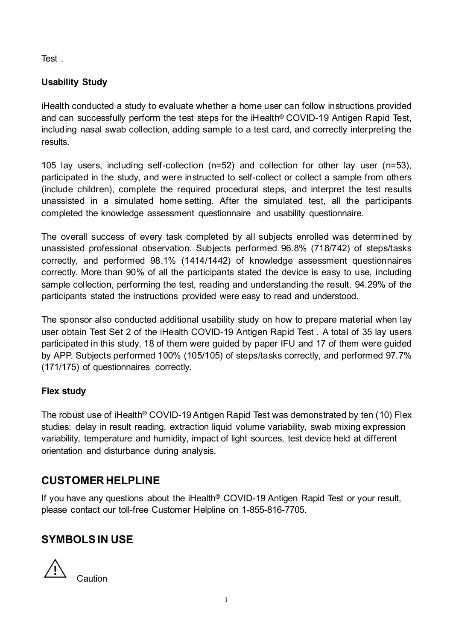Test .

## **Usability Study**

iHealth conducted a study to evaluate whether a home user can follow instructions provided and can successfully perform the test steps for the iHealth® COVID-19 Antigen Rapid Test, including nasal swab collection, adding sample to a test card, and correctly interpreting the results.

105 lay users, including self-collection (n=52) and collection for other lay user (n=53), participated in the study, and were instructed to self-collect or collect a sample from others (include children), complete the required procedural steps, and interpret the test results unassisted in a simulated home setting. After the simulated test, all the participants completed the knowledge assessment questionnaire and usability questionnaire.

The overall success of every task completed by all subjects enrolled was determined by unassisted professional observation. Subjects performed 96.8% (718/742) of steps/tasks correctly, and performed 98.1% (1414/1442) of knowledge assessment questionnaires correctly. More than 90% of all the participants stated the device is easy to use, including sample collection, performing the test, reading and understanding the result. 94.29% of the participants stated the instructions provided were easy to read and understood.

The sponsor also conducted additional usability study on how to prepare material when lay user obtain Test Set 2 of the iHealth COVID-19 Antigen Rapid Test . A total of 35 lay users participated in this study, 18 of them were guided by paper IFU and 17 of them were guided by APP. Subjects performed 100% (105/105) of steps/tasks correctly, and performed 97.7% (171/175) of questionnaires correctly.

### **Flex study**

The robust use of iHealth® COVID-19 Antigen Rapid Test was demonstrated by ten (10) Flex studies: delay in result reading, extraction liquid volume variability, swab mixing expression variability, temperature and humidity, impact of light sources, test device held at different orientation and disturbance during analysis.

## **CUSTOMER HELPLINE**

If you have any questions about the iHealth® COVID-19 Antigen Rapid Test or your result, please contact our toll-free Customer Helpline on 1-855-816-7705.

## **SYMBOLS IN USE**